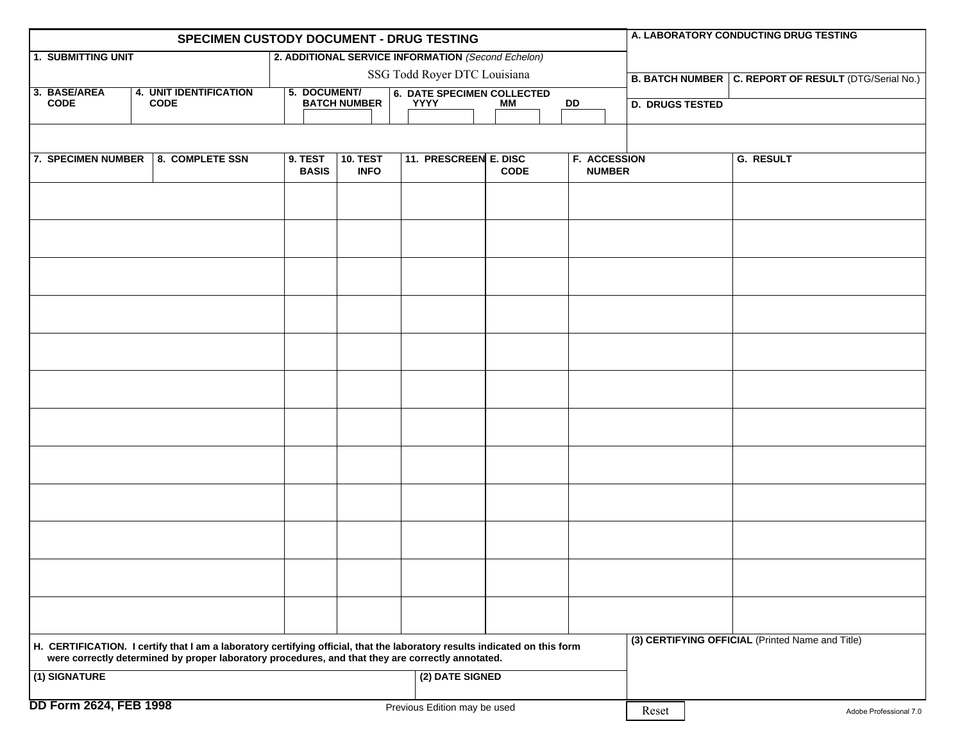| SPECIMEN CUSTODY DOCUMENT - DRUG TESTING                                                                                              |  |                                                                                                                            |                                     |              |                 |                              |                                                                     |  |             |  | A. LABORATORY CONDUCTING DRUG TESTING                  |                        |  |                        |                                                  |
|---------------------------------------------------------------------------------------------------------------------------------------|--|----------------------------------------------------------------------------------------------------------------------------|-------------------------------------|--------------|-----------------|------------------------------|---------------------------------------------------------------------|--|-------------|--|--------------------------------------------------------|------------------------|--|------------------------|--------------------------------------------------|
| <b>1. SUBMITTING UNIT</b>                                                                                                             |  |                                                                                                                            |                                     |              |                 |                              | 2. ADDITIONAL SERVICE INFORMATION (Second Echelon)                  |  |             |  |                                                        |                        |  |                        |                                                  |
|                                                                                                                                       |  |                                                                                                                            | SSG Todd Royer DTC Louisiana        |              |                 |                              |                                                                     |  |             |  | B. BATCH NUMBER   C. REPORT OF RESULT (DTG/Serial No.) |                        |  |                        |                                                  |
| 3. BASE/AREA<br><b>CODE</b>                                                                                                           |  | <b>4. UNIT IDENTIFICATION</b><br><b>CODE</b>                                                                               | 5. DOCUMENT/<br><b>BATCH NUMBER</b> |              |                 |                              | <b>6. DATE SPECIMEN COLLECTED</b><br><b>YYYY</b><br>МM<br><b>DD</b> |  |             |  |                                                        |                        |  |                        |                                                  |
|                                                                                                                                       |  |                                                                                                                            |                                     |              |                 |                              |                                                                     |  |             |  |                                                        | <b>D. DRUGS TESTED</b> |  |                        |                                                  |
|                                                                                                                                       |  |                                                                                                                            |                                     |              |                 |                              |                                                                     |  |             |  |                                                        |                        |  |                        |                                                  |
| 7. SPECIMEN NUMBER                                                                                                                    |  | 8. COMPLETE SSN                                                                                                            |                                     | 9. TEST      | <b>10. TEST</b> |                              | 11. PRESCREEN E. DISC                                               |  |             |  | <b>F. ACCESSION</b>                                    |                        |  |                        | <b>G. RESULT</b>                                 |
|                                                                                                                                       |  |                                                                                                                            |                                     | <b>BASIS</b> | <b>INFO</b>     |                              |                                                                     |  | <b>CODE</b> |  | <b>NUMBER</b>                                          |                        |  |                        |                                                  |
|                                                                                                                                       |  |                                                                                                                            |                                     |              |                 |                              |                                                                     |  |             |  |                                                        |                        |  |                        |                                                  |
|                                                                                                                                       |  |                                                                                                                            |                                     |              |                 |                              |                                                                     |  |             |  |                                                        |                        |  |                        |                                                  |
|                                                                                                                                       |  |                                                                                                                            |                                     |              |                 |                              |                                                                     |  |             |  |                                                        |                        |  |                        |                                                  |
|                                                                                                                                       |  |                                                                                                                            |                                     |              |                 |                              |                                                                     |  |             |  |                                                        |                        |  |                        |                                                  |
|                                                                                                                                       |  |                                                                                                                            |                                     |              |                 |                              |                                                                     |  |             |  |                                                        |                        |  |                        |                                                  |
|                                                                                                                                       |  |                                                                                                                            |                                     |              |                 |                              |                                                                     |  |             |  |                                                        |                        |  |                        |                                                  |
|                                                                                                                                       |  |                                                                                                                            |                                     |              |                 |                              |                                                                     |  |             |  |                                                        |                        |  |                        |                                                  |
|                                                                                                                                       |  |                                                                                                                            |                                     |              |                 |                              |                                                                     |  |             |  |                                                        |                        |  |                        |                                                  |
|                                                                                                                                       |  |                                                                                                                            |                                     |              |                 |                              |                                                                     |  |             |  |                                                        |                        |  |                        |                                                  |
|                                                                                                                                       |  |                                                                                                                            |                                     |              |                 |                              |                                                                     |  |             |  |                                                        |                        |  |                        |                                                  |
|                                                                                                                                       |  |                                                                                                                            |                                     |              |                 |                              |                                                                     |  |             |  |                                                        |                        |  |                        |                                                  |
|                                                                                                                                       |  |                                                                                                                            |                                     |              |                 |                              |                                                                     |  |             |  |                                                        |                        |  |                        |                                                  |
|                                                                                                                                       |  |                                                                                                                            |                                     |              |                 |                              |                                                                     |  |             |  |                                                        |                        |  |                        |                                                  |
|                                                                                                                                       |  |                                                                                                                            |                                     |              |                 |                              |                                                                     |  |             |  |                                                        |                        |  |                        |                                                  |
|                                                                                                                                       |  |                                                                                                                            |                                     |              |                 |                              |                                                                     |  |             |  |                                                        |                        |  |                        |                                                  |
|                                                                                                                                       |  |                                                                                                                            |                                     |              |                 |                              |                                                                     |  |             |  |                                                        |                        |  |                        |                                                  |
|                                                                                                                                       |  |                                                                                                                            |                                     |              |                 |                              |                                                                     |  |             |  |                                                        |                        |  |                        |                                                  |
|                                                                                                                                       |  |                                                                                                                            |                                     |              |                 |                              |                                                                     |  |             |  |                                                        |                        |  |                        |                                                  |
|                                                                                                                                       |  |                                                                                                                            |                                     |              |                 |                              |                                                                     |  |             |  |                                                        |                        |  |                        |                                                  |
|                                                                                                                                       |  |                                                                                                                            |                                     |              |                 |                              |                                                                     |  |             |  |                                                        |                        |  |                        |                                                  |
|                                                                                                                                       |  |                                                                                                                            |                                     |              |                 |                              |                                                                     |  |             |  |                                                        |                        |  |                        |                                                  |
|                                                                                                                                       |  |                                                                                                                            |                                     |              |                 |                              |                                                                     |  |             |  |                                                        |                        |  |                        |                                                  |
|                                                                                                                                       |  |                                                                                                                            |                                     |              |                 |                              |                                                                     |  |             |  |                                                        |                        |  |                        |                                                  |
|                                                                                                                                       |  | H. CERTIFICATION. I certify that I am a laboratory certifying official, that the laboratory results indicated on this form |                                     |              |                 |                              |                                                                     |  |             |  |                                                        |                        |  |                        | (3) CERTIFYING OFFICIAL (Printed Name and Title) |
| were correctly determined by proper laboratory procedures, and that they are correctly annotated.<br>(2) DATE SIGNED<br>(1) SIGNATURE |  |                                                                                                                            |                                     |              |                 |                              |                                                                     |  |             |  |                                                        |                        |  |                        |                                                  |
|                                                                                                                                       |  |                                                                                                                            |                                     |              |                 |                              |                                                                     |  |             |  |                                                        |                        |  |                        |                                                  |
| <b>DD Form 2624, FEB 1998</b>                                                                                                         |  |                                                                                                                            |                                     |              |                 | Previous Edition may be used |                                                                     |  |             |  |                                                        | Reset                  |  | Adobe Professional 7.0 |                                                  |